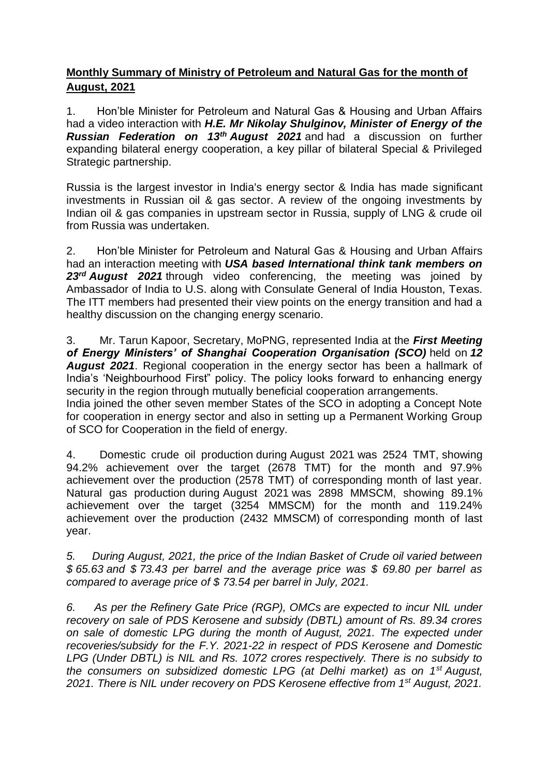## **Monthly Summary of Ministry of Petroleum and Natural Gas for the month of August, 2021**

1. Hon'ble Minister for Petroleum and Natural Gas & Housing and Urban Affairs had a video interaction with *H.E. Mr Nikolay Shulginov, Minister of Energy of the Russian Federation on 13th August 2021* and had a discussion on further expanding bilateral energy cooperation, a key pillar of bilateral Special & Privileged Strategic partnership.

Russia is the largest investor in India's energy sector & India has made significant investments in Russian oil & gas sector. A review of the ongoing investments by Indian oil & gas companies in upstream sector in Russia, supply of LNG & crude oil from Russia was undertaken.

2. Hon'ble Minister for Petroleum and Natural Gas & Housing and Urban Affairs had an interaction meeting with *USA based International think tank members on*  23<sup>rd</sup> **August 2021** through video conferencing, the meeting was joined by Ambassador of India to U.S. along with Consulate General of India Houston, Texas. The ITT members had presented their view points on the energy transition and had a healthy discussion on the changing energy scenario.

3. Mr. Tarun Kapoor, Secretary, MoPNG, represented India at the *First Meeting of Energy Ministers' of Shanghai Cooperation Organisation (SCO)* held on *12 August 2021*. Regional cooperation in the energy sector has been a hallmark of India's 'Neighbourhood First" policy. The policy looks forward to enhancing energy security in the region through mutually beneficial cooperation arrangements. India joined the other seven member States of the SCO in adopting a Concept Note for cooperation in energy sector and also in setting up a Permanent Working Group of SCO for Cooperation in the field of energy.

4. Domestic crude oil production during August 2021 was 2524 TMT, showing 94.2% achievement over the target (2678 TMT) for the month and 97.9% achievement over the production (2578 TMT) of corresponding month of last year. Natural gas production during August 2021 was 2898 MMSCM, showing 89.1% achievement over the target (3254 MMSCM) for the month and 119.24% achievement over the production (2432 MMSCM) of corresponding month of last year.

*5. During August, 2021, the price of the Indian Basket of Crude oil varied between \$ 65.63 and \$ 73.43 per barrel and the average price was \$ 69.80 per barrel as compared to average price of \$ 73.54 per barrel in July, 2021.*

*6. As per the Refinery Gate Price (RGP), OMCs are expected to incur NIL under recovery on sale of PDS Kerosene and subsidy (DBTL) amount of Rs. 89.34 crores on sale of domestic LPG during the month of August, 2021. The expected under recoveries/subsidy for the F.Y. 2021-22 in respect of PDS Kerosene and Domestic LPG (Under DBTL) is NIL and Rs. 1072 crores respectively. There is no subsidy to the consumers on subsidized domestic LPG (at Delhi market) as on 1st August, 2021. There is NIL under recovery on PDS Kerosene effective from 1st August, 2021.*